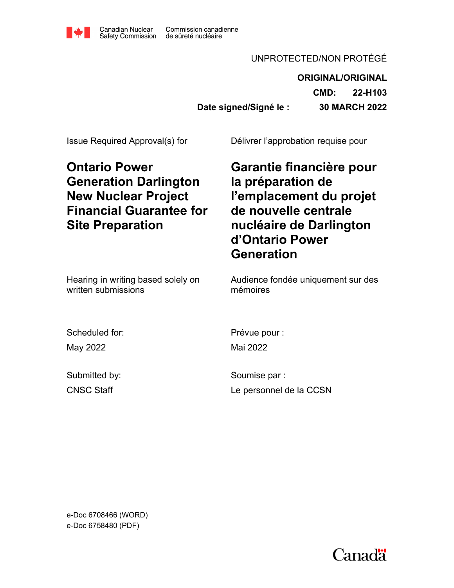

### UNPROTECTED/NON PROTÉGÉ

**ORIGINAL/ORIGINAL CMD: 22-H103**

**Date signed/Signé le : 30 MARCH 2022**

Issue Required Approval(s) for Délivrer l'approbation requise pour

# **Ontario Power Generation Darlington New Nuclear Project Financial Guarantee for Site Preparation**

Hearing in writing based solely on

**Garantie financière pour la préparation de l'emplacement du projet de nouvelle centrale nucléaire de Darlington d'Ontario Power Generation**

Audience fondée uniquement sur des mémoires

Scheduled for: May 2022

written submissions

Prévue pour : Mai 2022

Submitted by: CNSC Staff

Soumise par : Le personnel de la CCSN

e-Doc 6708466 (WORD) e-Doc 6758480 (PDF)

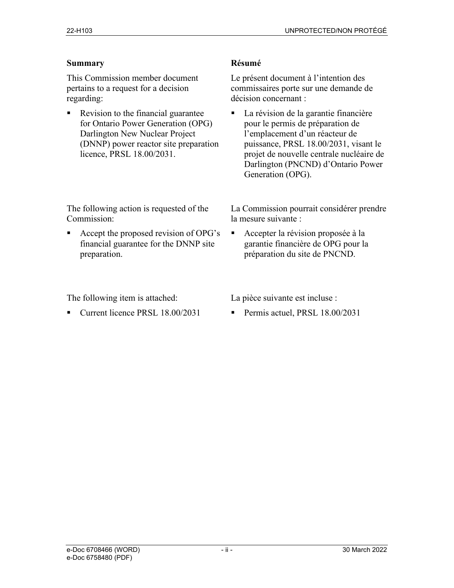### **Summary**

This Commission member document pertains to a request for a decision regarding:

 Revision to the financial guarantee for Ontario Power Generation (OPG) Darlington New Nuclear Project (DNNP) power reactor site preparation licence, PRSL 18.00/2031.

### **Résumé**

Le présent document à l'intention des commissaires porte sur une demande de décision concernant :

• La révision de la garantie financière pour le permis de préparation de l'emplacement d'un réacteur de puissance, PRSL 18.00/2031, visant le projet de nouvelle centrale nucléaire de Darlington (PNCND) d'Ontario Power Generation (OPG).

The following action is requested of the Commission:

■ Accept the proposed revision of OPG's financial guarantee for the DNNP site preparation.

La Commission pourrait considérer prendre la mesure suivante :

Accepter la révision proposée à la garantie financière de OPG pour la préparation du site de PNCND.

The following item is attached:

Current licence PRSL 18.00/2031

La pièce suivante est incluse :

Permis actuel, PRSL 18.00/2031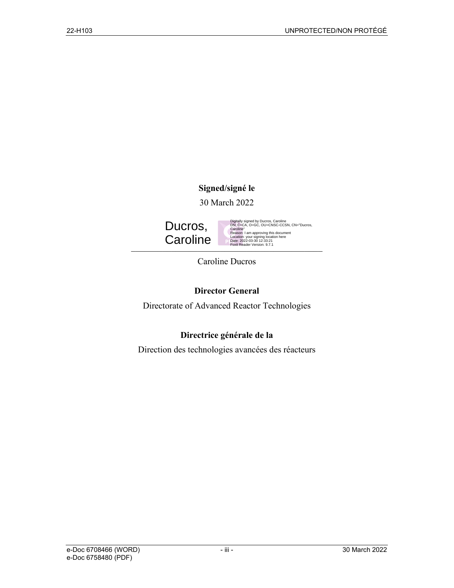### **Signed/signé le**

30 March 2022



Foxit Reader Version: 9.7.1 Digitally signed by Ducros, Caroline DN: C=CA, O=GC, OU=CNSC-CCSN, CN="Ducros, Caroline" Reason: I am approving this document Location: your signing location here Date: 2022-03-30 12:33:21 Foxit Reader Version: 9.7.1

Caroline Ducros

### **Director General**

Directorate of Advanced Reactor Technologies

### **Directrice générale de la**

Direction des technologies avancées des réacteurs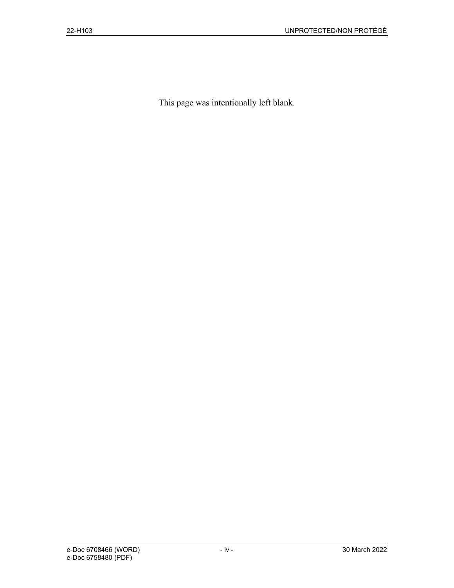This page was intentionally left blank.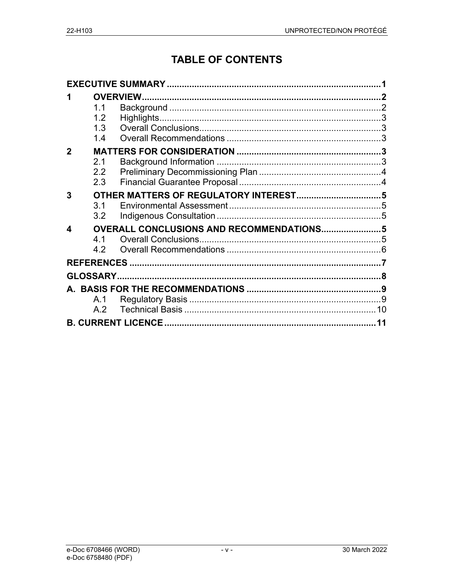# **TABLE OF CONTENTS**

| <b>OVERVIEW.</b>           |     |                                           |  |  |  |  |
|----------------------------|-----|-------------------------------------------|--|--|--|--|
|                            | 11  |                                           |  |  |  |  |
|                            | 1.2 |                                           |  |  |  |  |
|                            | 1.3 |                                           |  |  |  |  |
|                            | 1.4 |                                           |  |  |  |  |
| $\overline{2}$             |     |                                           |  |  |  |  |
|                            | 21  |                                           |  |  |  |  |
|                            | 2.2 |                                           |  |  |  |  |
|                            | 2.3 |                                           |  |  |  |  |
| 3                          |     |                                           |  |  |  |  |
|                            | 3.1 |                                           |  |  |  |  |
|                            | 3.2 |                                           |  |  |  |  |
| 4                          |     | OVERALL CONCLUSIONS AND RECOMMENDATIONS 5 |  |  |  |  |
|                            | 4.1 |                                           |  |  |  |  |
|                            | 4.2 |                                           |  |  |  |  |
|                            |     |                                           |  |  |  |  |
|                            |     |                                           |  |  |  |  |
|                            |     |                                           |  |  |  |  |
|                            | A.1 | .9                                        |  |  |  |  |
|                            | A 2 |                                           |  |  |  |  |
| <b>B. CURRENT LICENCE.</b> |     |                                           |  |  |  |  |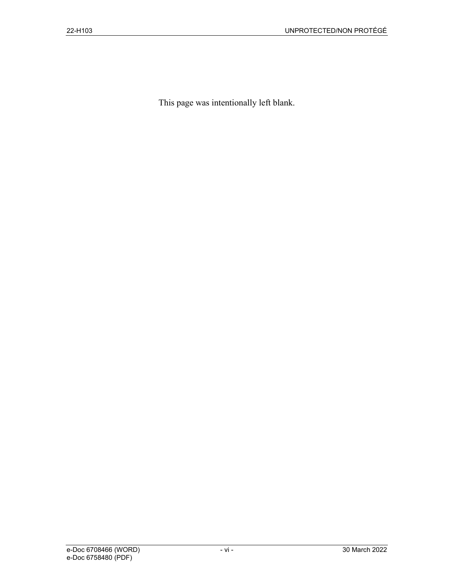This page was intentionally left blank.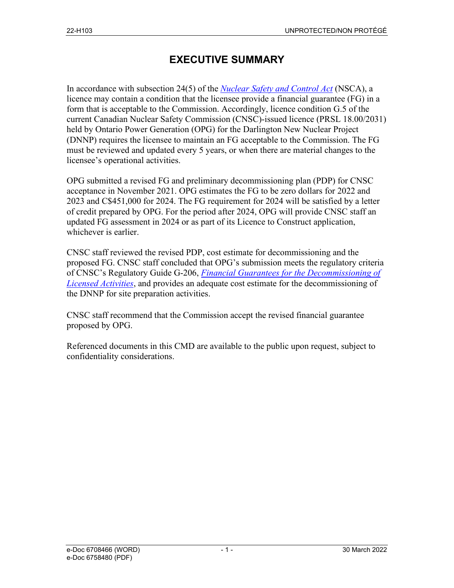## **EXECUTIVE SUMMARY**

In accordance with subsection 24(5) of the *Nuclear Safety and Control Act* (NSCA), a licence may contain a condition that the licensee provide a financial guarantee (FG) in a form that is acceptable to the Commission. Accordingly, licence condition G.5 of the current Canadian Nuclear Safety Commission (CNSC)-issued licence (PRSL 18.00/2031) held by Ontario Power Generation (OPG) for the Darlington New Nuclear Project (DNNP) requires the licensee to maintain an FG acceptable to the Commission. The FG must be reviewed and updated every 5 years, or when there are material changes to the licensee's operational activities.

OPG submitted a revised FG and preliminary decommissioning plan (PDP) for CNSC acceptance in November 2021. OPG estimates the FG to be zero dollars for 2022 and 2023 and C\$451,000 for 2024. The FG requirement for 2024 will be satisfied by a letter of credit prepared by OPG. For the period after 2024, OPG will provide CNSC staff an updated FG assessment in 2024 or as part of its Licence to Construct application, whichever is earlier.

CNSC staff reviewed the revised PDP, cost estimate for decommissioning and the proposed FG. CNSC staff concluded that OPG's submission meets the regulatory criteria of CNSC's Regulatory Guide G-206, *Financial Guarantees for the Decommissioning of Licensed Activities*, and provides an adequate cost estimate for the decommissioning of the DNNP for site preparation activities.

CNSC staff recommend that the Commission accept the revised financial guarantee proposed by OPG.

Referenced documents in this CMD are available to the public upon request, subject to confidentiality considerations.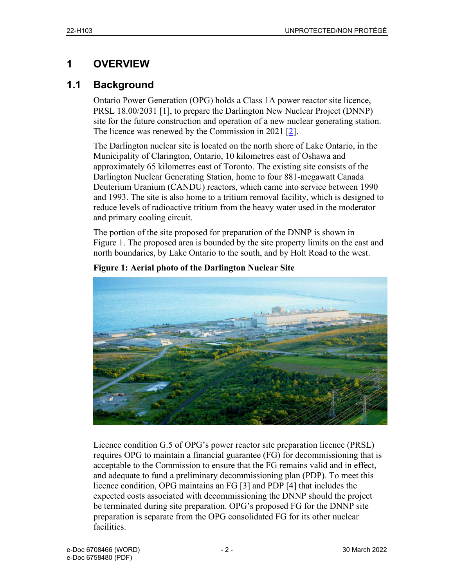## **1 OVERVIEW**

### **1.1 Background**

Ontario Power Generation (OPG) holds a Class 1A power reactor site licence, PRSL 18.00/2031 [1], to prepare the Darlington New Nuclear Project (DNNP) site for the future construction and operation of a new nuclear generating station. The licence was renewed by the Commission in 2021 [2].

The Darlington nuclear site is located on the north shore of Lake Ontario, in the Municipality of Clarington, Ontario, 10 kilometres east of Oshawa and approximately 65 kilometres east of Toronto. The existing site consists of the Darlington Nuclear Generating Station, home to four 881-megawatt Canada Deuterium Uranium (CANDU) reactors, which came into service between 1990 and 1993. The site is also home to a tritium removal facility, which is designed to reduce levels of radioactive tritium from the heavy water used in the moderator and primary cooling circuit.

The portion of the site proposed for preparation of the DNNP is shown in Figure 1. The proposed area is bounded by the site property limits on the east and north boundaries, by Lake Ontario to the south, and by Holt Road to the west.



### **Figure 1: Aerial photo of the Darlington Nuclear Site**

Licence condition G.5 of OPG's power reactor site preparation licence (PRSL) requires OPG to maintain a financial guarantee (FG) for decommissioning that is acceptable to the Commission to ensure that the FG remains valid and in effect, and adequate to fund a preliminary decommissioning plan (PDP). To meet this licence condition, OPG maintains an FG [3] and PDP [4] that includes the expected costs associated with decommissioning the DNNP should the project be terminated during site preparation. OPG's proposed FG for the DNNP site preparation is separate from the OPG consolidated FG for its other nuclear facilities.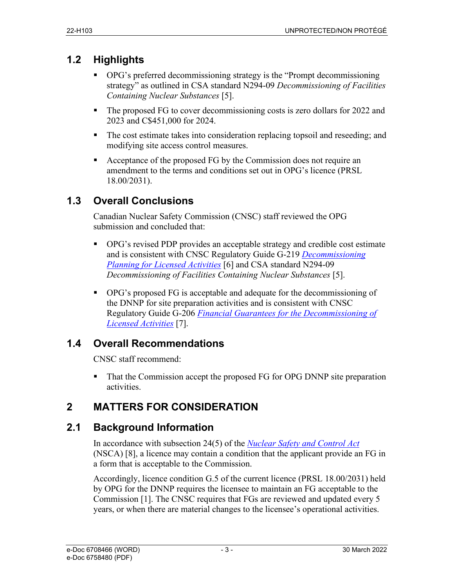## **1.2 Highlights**

- OPG's preferred decommissioning strategy is the "Prompt decommissioning strategy" as outlined in CSA standard N294-09 *Decommissioning of Facilities Containing Nuclear Substances* [5].
- The proposed FG to cover decommissioning costs is zero dollars for 2022 and 2023 and C\$451,000 for 2024.
- The cost estimate takes into consideration replacing topsoil and reseeding; and modifying site access control measures.
- Acceptance of the proposed FG by the Commission does not require an amendment to the terms and conditions set out in OPG's licence (PRSL 18.00/2031).

## **1.3 Overall Conclusions**

Canadian Nuclear Safety Commission (CNSC) staff reviewed the OPG submission and concluded that:

- OPG's revised PDP provides an acceptable strategy and credible cost estimate and is consistent with CNSC Regulatory Guide G-219 *Decommissioning Planning for Licensed Activities* [6] and CSA standard N294-09 *Decommissioning of Facilities Containing Nuclear Substances* [5].
- OPG's proposed FG is acceptable and adequate for the decommissioning of the DNNP for site preparation activities and is consistent with CNSC Regulatory Guide G-206 *Financial Guarantees for the Decommissioning of Licensed Activities* [7].

### **1.4 Overall Recommendations**

CNSC staff recommend:

• That the Commission accept the proposed FG for OPG DNNP site preparation activities.

## **2 MATTERS FOR CONSIDERATION**

## **2.1 Background Information**

In accordance with subsection 24(5) of the *Nuclear Safety and Control Act* (NSCA) [8], a licence may contain a condition that the applicant provide an FG in a form that is acceptable to the Commission.

Accordingly, licence condition G.5 of the current licence (PRSL 18.00/2031) held by OPG for the DNNP requires the licensee to maintain an FG acceptable to the Commission [1]. The CNSC requires that FGs are reviewed and updated every 5 years, or when there are material changes to the licensee's operational activities.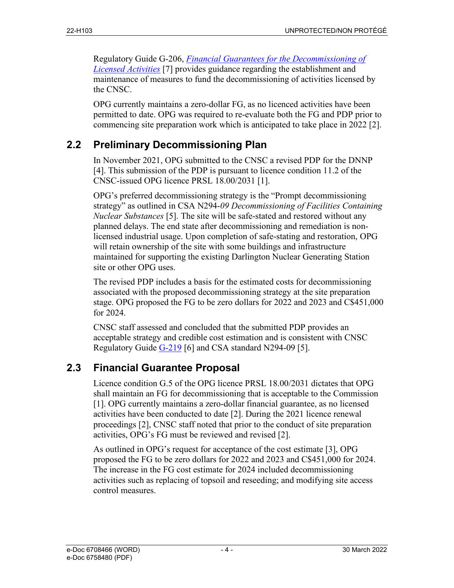Regulatory Guide G-206, *Financial Guarantees for the Decommissioning of Licensed Activities* [7] provides guidance regarding the establishment and maintenance of measures to fund the decommissioning of activities licensed by the CNSC.

OPG currently maintains a zero-dollar FG, as no licenced activities have been permitted to date. OPG was required to re-evaluate both the FG and PDP prior to commencing site preparation work which is anticipated to take place in 2022 [2].

## **2.2 Preliminary Decommissioning Plan**

In November 2021, OPG submitted to the CNSC a revised PDP for the DNNP [4]. This submission of the PDP is pursuant to licence condition 11.2 of the CNSC-issued OPG licence PRSL 18.00/2031 [1].

OPG's preferred decommissioning strategy is the "Prompt decommissioning strategy" as outlined in CSA N294-*09 Decommissioning of Facilities Containing Nuclear Substances* [5]. The site will be safe-stated and restored without any planned delays. The end state after decommissioning and remediation is nonlicensed industrial usage. Upon completion of safe-stating and restoration, OPG will retain ownership of the site with some buildings and infrastructure maintained for supporting the existing Darlington Nuclear Generating Station site or other OPG uses.

The revised PDP includes a basis for the estimated costs for decommissioning associated with the proposed decommissioning strategy at the site preparation stage. OPG proposed the FG to be zero dollars for 2022 and 2023 and C\$451,000 for 2024.

CNSC staff assessed and concluded that the submitted PDP provides an acceptable strategy and credible cost estimation and is consistent with CNSC Regulatory Guide G-219 [6] and CSA standard N294-09 [5].

## **2.3 Financial Guarantee Proposal**

Licence condition G.5 of the OPG licence PRSL 18.00/2031 dictates that OPG shall maintain an FG for decommissioning that is acceptable to the Commission [1]. OPG currently maintains a zero-dollar financial guarantee, as no licensed activities have been conducted to date [2]. During the 2021 licence renewal proceedings [2], CNSC staff noted that prior to the conduct of site preparation activities, OPG's FG must be reviewed and revised [2].

As outlined in OPG's request for acceptance of the cost estimate [3], OPG proposed the FG to be zero dollars for 2022 and 2023 and C\$451,000 for 2024. The increase in the FG cost estimate for 2024 included decommissioning activities such as replacing of topsoil and reseeding; and modifying site access control measures.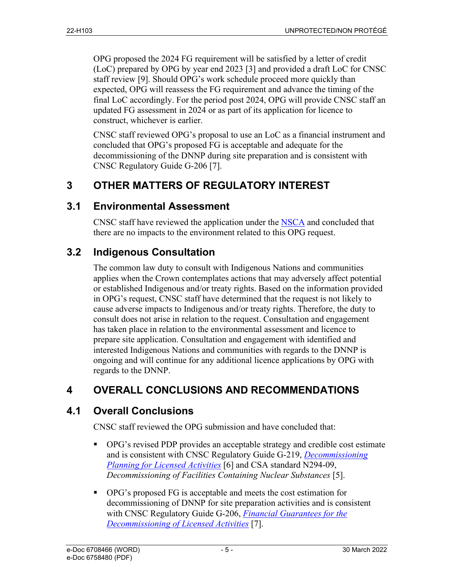OPG proposed the 2024 FG requirement will be satisfied by a letter of credit (LoC) prepared by OPG by year end 2023 [3] and provided a draft LoC for CNSC staff review [9]. Should OPG's work schedule proceed more quickly than expected, OPG will reassess the FG requirement and advance the timing of the final LoC accordingly. For the period post 2024, OPG will provide CNSC staff an updated FG assessment in 2024 or as part of its application for licence to construct, whichever is earlier.

CNSC staff reviewed OPG's proposal to use an LoC as a financial instrument and concluded that OPG's proposed FG is acceptable and adequate for the decommissioning of the DNNP during site preparation and is consistent with CNSC Regulatory Guide G-206 [7].

## **3 OTHER MATTERS OF REGULATORY INTEREST**

### **3.1 Environmental Assessment**

CNSC staff have reviewed the application under the NSCA and concluded that there are no impacts to the environment related to this OPG request.

## **3.2 Indigenous Consultation**

The common law duty to consult with Indigenous Nations and communities applies when the Crown contemplates actions that may adversely affect potential or established Indigenous and/or treaty rights. Based on the information provided in OPG's request, CNSC staff have determined that the request is not likely to cause adverse impacts to Indigenous and/or treaty rights. Therefore, the duty to consult does not arise in relation to the request. Consultation and engagement has taken place in relation to the environmental assessment and licence to prepare site application. Consultation and engagement with identified and interested Indigenous Nations and communities with regards to the DNNP is ongoing and will continue for any additional licence applications by OPG with regards to the DNNP.

## **4 OVERALL CONCLUSIONS AND RECOMMENDATIONS**

## **4.1 Overall Conclusions**

CNSC staff reviewed the OPG submission and have concluded that:

- OPG's revised PDP provides an acceptable strategy and credible cost estimate and is consistent with CNSC Regulatory Guide G-219, *Decommissioning Planning for Licensed Activities* [6] and CSA standard N294-09, *Decommissioning of Facilities Containing Nuclear Substances* [5].
- OPG's proposed FG is acceptable and meets the cost estimation for decommissioning of DNNP for site preparation activities and is consistent with CNSC Regulatory Guide G-206, *Financial Guarantees for the Decommissioning of Licensed Activities* [7].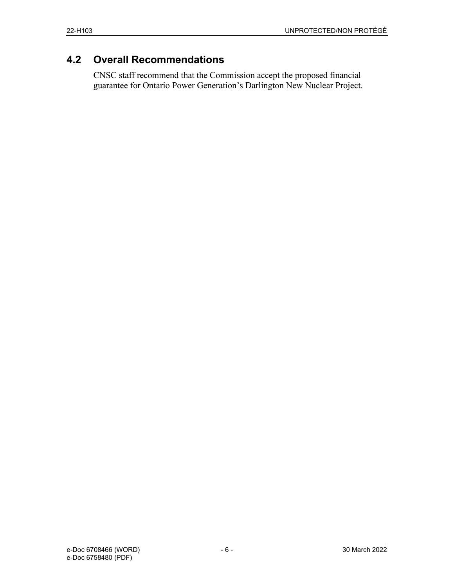## **4.2 Overall Recommendations**

CNSC staff recommend that the Commission accept the proposed financial guarantee for Ontario Power Generation's Darlington New Nuclear Project.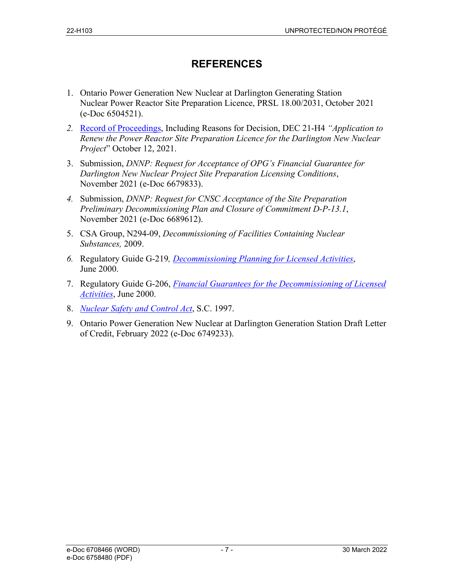## **REFERENCES**

- 1. Ontario Power Generation New Nuclear at Darlington Generating Station Nuclear Power Reactor Site Preparation Licence, PRSL 18.00/2031, October 2021 (e-Doc 6504521).
- *2.* Record of Proceedings, Including Reasons for Decision, DEC 21-H4 *"Application to Renew the Power Reactor Site Preparation Licence for the Darlington New Nuclear Project*" October 12, 2021.
- 3. Submission, *DNNP: Request for Acceptance of OPG's Financial Guarantee for Darlington New Nuclear Project Site Preparation Licensing Conditions*, November 2021 (e-Doc 6679833).
- *4.* Submission, *DNNP: Request for CNSC Acceptance of the Site Preparation Preliminary Decommissioning Plan and Closure of Commitment D-P-13.1*, November 2021 (e-Doc 6689612).
- 5. CSA Group, N294-09, *Decommissioning of Facilities Containing Nuclear Substances,* 2009.
- *6.* Regulatory Guide G-219*, Decommissioning Planning for Licensed Activities*, June 2000.
- 7. Regulatory Guide G-206, *Financial Guarantees for the Decommissioning of Licensed Activities*, June 2000.
- 8. *Nuclear Safety and Control Act*, S.C. 1997.
- 9. Ontario Power Generation New Nuclear at Darlington Generation Station Draft Letter of Credit, February 2022 (e-Doc 6749233).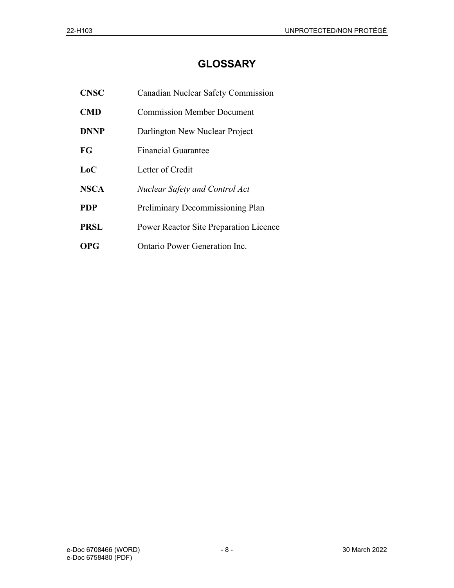## **GLOSSARY**

| <b>CNSC</b> | <b>Canadian Nuclear Safety Commission</b> |
|-------------|-------------------------------------------|
| <b>CMD</b>  | <b>Commission Member Document</b>         |
| <b>DNNP</b> | Darlington New Nuclear Project            |
| FG          | Financial Guarantee                       |
| LoC         | Letter of Credit                          |
| <b>NSCA</b> | <b>Nuclear Safety and Control Act</b>     |
| <b>PDP</b>  | Preliminary Decommissioning Plan          |
| <b>PRSL</b> | Power Reactor Site Preparation Licence    |
| <b>OPG</b>  | Ontario Power Generation Inc.             |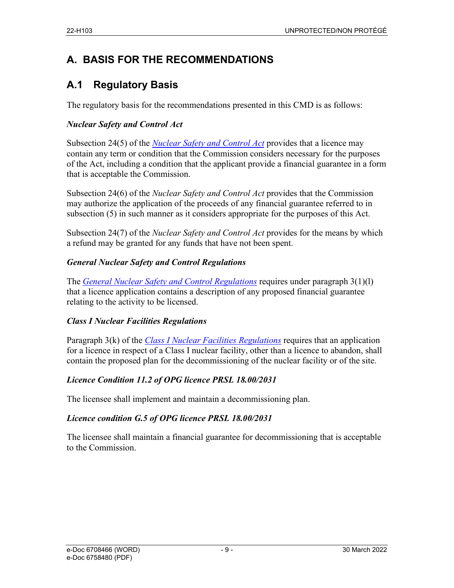## **A. BASIS FOR THE RECOMMENDATIONS**

## **A.1 Regulatory Basis**

The regulatory basis for the recommendations presented in this CMD is as follows:

### *Nuclear Safety and Control Act*

Subsection 24(5) of the *Nuclear Safety and Control Act* provides that a licence may contain any term or condition that the Commission considers necessary for the purposes of the Act, including a condition that the applicant provide a financial guarantee in a form that is acceptable the Commission.

Subsection 24(6) of the *Nuclear Safety and Control Act* provides that the Commission may authorize the application of the proceeds of any financial guarantee referred to in subsection (5) in such manner as it considers appropriate for the purposes of this Act.

Subsection 24(7) of the *Nuclear Safety and Control Act* provides for the means by which a refund may be granted for any funds that have not been spent.

### *General Nuclear Safety and Control Regulations*

The *General Nuclear Safety and Control Regulations* requires under paragraph 3(1)(l) that a licence application contains a description of any proposed financial guarantee relating to the activity to be licensed.

### *Class I Nuclear Facilities Regulations*

Paragraph 3(k) of the *Class I Nuclear Facilities Regulations* requires that an application for a licence in respect of a Class I nuclear facility, other than a licence to abandon, shall contain the proposed plan for the decommissioning of the nuclear facility or of the site.

### *Licence Condition 11.2 of OPG licence PRSL 18.00/2031*

The licensee shall implement and maintain a decommissioning plan.

### *Licence condition G.5 of OPG licence PRSL 18.00/2031*

The licensee shall maintain a financial guarantee for decommissioning that is acceptable to the Commission.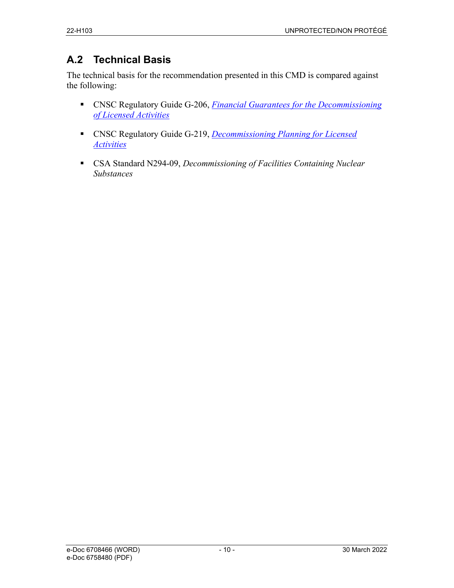## **A.2 Technical Basis**

The technical basis for the recommendation presented in this CMD is compared against the following:

- CNSC Regulatory Guide G-206, *Financial Guarantees for the Decommissioning of Licensed Activities*
- CNSC Regulatory Guide G-219, *Decommissioning Planning for Licensed Activities*
- CSA Standard N294-09, *Decommissioning of Facilities Containing Nuclear Substances*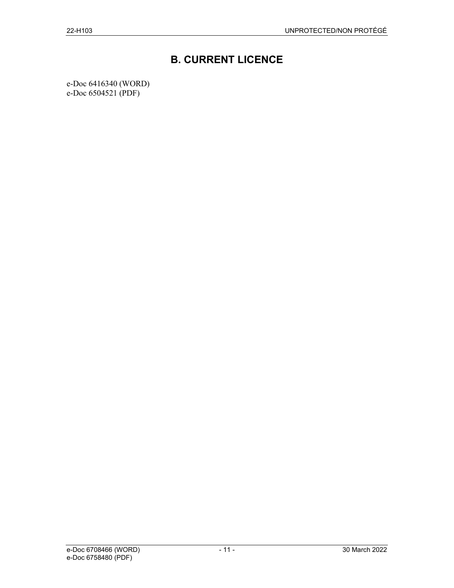## **B. CURRENT LICENCE**

e-Doc 6416340 (WORD) e-Doc 6504521 (PDF)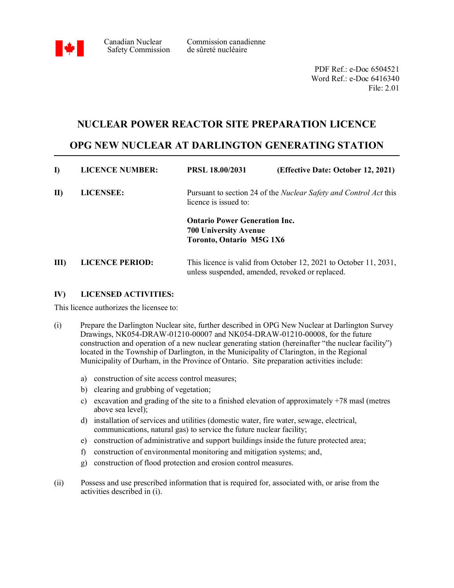

**Example 3**Canadian Nuclear Commission canadienne Safety Commission de sûreté nucléaire

PDF Ref.: e-Doc 6504521 Word Ref.: e-Doc 6416340 File: 2.01

### **NUCLEAR POWER REACTOR SITE PREPARATION LICENCE**

### **OPG NEW NUCLEAR AT DARLINGTON GENERATING STATION**

| I)           | <b>LICENCE NUMBER:</b> | <b>PRSL 18.00/2031</b>                                                                            | (Effective Date: October 12, 2021)                               |  |
|--------------|------------------------|---------------------------------------------------------------------------------------------------|------------------------------------------------------------------|--|
| $\mathbf{I}$ | LICENSEE:              | Pursuant to section 24 of the <i>Nuclear Safety and Control Act</i> this<br>licence is issued to: |                                                                  |  |
|              |                        | <b>Ontario Power Generation Inc.</b><br><b>700 University Avenue</b><br>Toronto, Ontario M5G 1X6  |                                                                  |  |
| III)         | <b>LICENCE PERIOD:</b> |                                                                                                   | This licence is valid from October 12, 2021 to October 11, 2031, |  |

unless suspended, amended, revoked or replaced.

#### **IV) LICENSED ACTIVITIES:**

This licence authorizes the licensee to:

- (i) Prepare the Darlington Nuclear site, further described in OPG New Nuclear at Darlington Survey Drawings, NK054-DRAW-01210-00007 and NK054-DRAW-01210-00008, for the future construction and operation of a new nuclear generating station (hereinafter "the nuclear facility") located in the Township of Darlington, in the Municipality of Clarington, in the Regional Municipality of Durham, in the Province of Ontario. Site preparation activities include:
	- a) construction of site access control measures;
	- b) clearing and grubbing of vegetation;
	- c) excavation and grading of the site to a finished elevation of approximately  $+78$  masl (metres above sea level);
	- d) installation of services and utilities (domestic water, fire water, sewage, electrical, communications, natural gas) to service the future nuclear facility;
	- e) construction of administrative and support buildings inside the future protected area;
	- f) construction of environmental monitoring and mitigation systems; and,
	- g) construction of flood protection and erosion control measures.
- (ii) Possess and use prescribed information that is required for, associated with, or arise from the activities described in (i).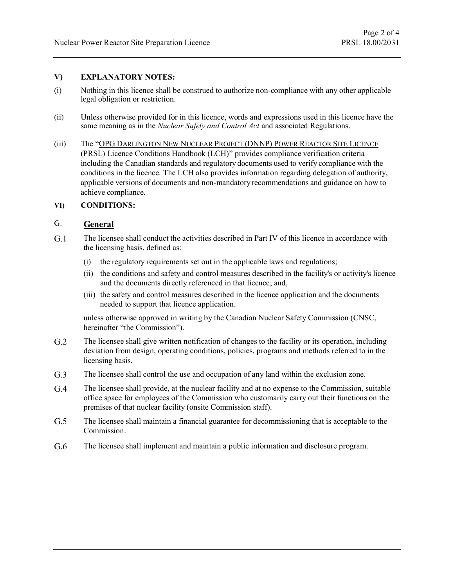#### **V) EXPLANATORY NOTES:**

- (i) Nothing in this licence shall be construed to authorize non-compliance with any other applicable legal obligation or restriction.
- (ii) Unless otherwise provided for in this licence, words and expressions used in this licence have the same meaning as in the *Nuclear Safety and Control Act* and associated Regulations.
- (iii) The "OPG DARLINGTON NEW NUCLEAR PROJECT (DNNP) POWER REACTOR SITE LICENCE (PRSL) Licence Conditions Handbook (LCH)" provides compliance verification criteria including the Canadian standards and regulatory documents used to verify compliance with the conditions in the licence. The LCH also provides information regarding delegation of authority, applicable versions of documents and non-mandatory recommendations and guidance on how to achieve compliance.

### **VI) CONDITIONS:**

### G. **General**

- G.1 The licensee shall conduct the activities described in Part IV of this licence in accordance with the licensing basis, defined as:
	- (i) the regulatory requirements set out in the applicable laws and regulations;
	- (ii) the conditions and safety and control measures described in the facility's or activity's licence and the documents directly referenced in that licence; and,
	- (iii) the safety and control measures described in the licence application and the documents needed to support that licence application.

unless otherwise approved in writing by the Canadian Nuclear Safety Commission (CNSC, hereinafter "the Commission").

- G.2 The licensee shall give written notification of changes to the facility or its operation, including deviation from design, operating conditions, policies, programs and methods referred to in the licensing basis.
- G.3 The licensee shall control the use and occupation of any land within the exclusion zone.
- G.4 The licensee shall provide, at the nuclear facility and at no expense to the Commission, suitable office space for employees of the Commission who customarily carry out their functions on the premises of that nuclear facility (onsite Commission staff).
- G.5 The licensee shall maintain a financial guarantee for decommissioning that is acceptable to the Commission.
- G.6 The licensee shall implement and maintain a public information and disclosure program.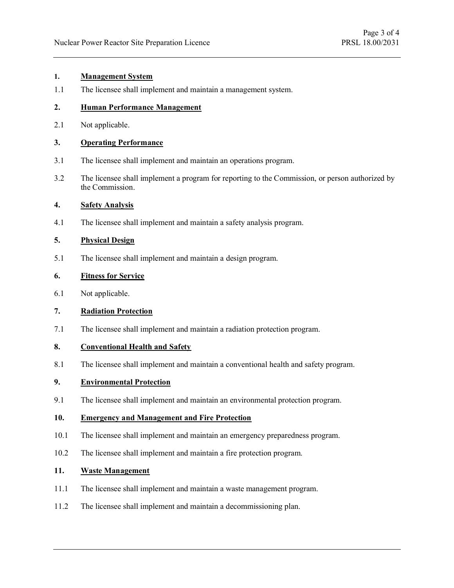#### **1. Management System**

1.1 The licensee shall implement and maintain a management system.

#### **2. Human Performance Management**

2.1 Not applicable.

#### **3. Operating Performance**

- 3.1 The licensee shall implement and maintain an operations program.
- 3.2 The licensee shall implement a program for reporting to the Commission, or person authorized by the Commission.

#### **4. Safety Analysis**

4.1 The licensee shall implement and maintain a safety analysis program.

#### **5. Physical Design**

5.1 The licensee shall implement and maintain a design program.

### **6. Fitness for Service**

6.1 Not applicable.

### **7. Radiation Protection**

7.1 The licensee shall implement and maintain a radiation protection program.

### **8. Conventional Health and Safety**

8.1 The licensee shall implement and maintain a conventional health and safety program.

#### **9. Environmental Protection**

9.1 The licensee shall implement and maintain an environmental protection program.

#### **10. Emergency and Management and Fire Protection**

- 10.1 The licensee shall implement and maintain an emergency preparedness program.
- 10.2 The licensee shall implement and maintain a fire protection program.

### **11. Waste Management**

- 11.1 The licensee shall implement and maintain a waste management program.
- 11.2 The licensee shall implement and maintain a decommissioning plan.